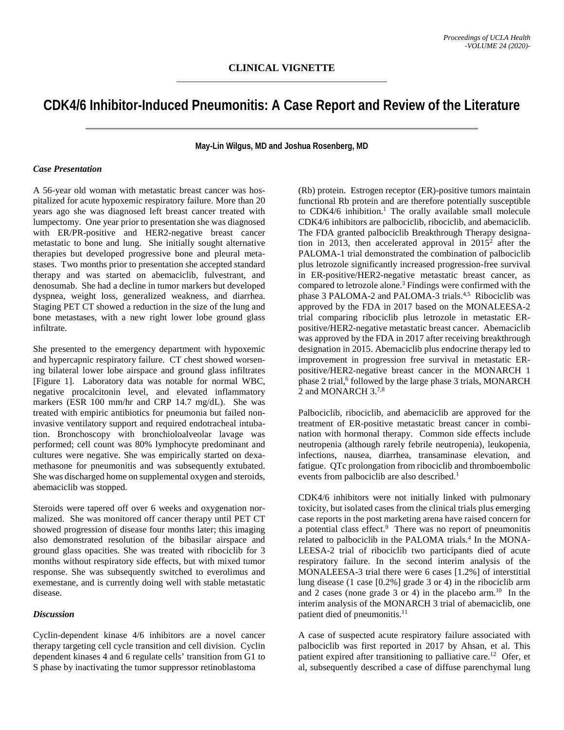## **CDK4/6 Inhibitor-Induced Pneumonitis: A Case Report and Review of the Literature**

**May-Lin Wilgus, MD and Joshua Rosenberg, MD**

## *Case Presentation*

A 56-year old woman with metastatic breast cancer was hospitalized for acute hypoxemic respiratory failure. More than 20 years ago she was diagnosed left breast cancer treated with lumpectomy. One year prior to presentation she was diagnosed with ER/PR-positive and HER2-negative breast cancer metastatic to bone and lung. She initially sought alternative therapies but developed progressive bone and pleural metastases. Two months prior to presentation she accepted standard therapy and was started on abemaciclib, fulvestrant, and denosumab. She had a decline in tumor markers but developed dyspnea, weight loss, generalized weakness, and diarrhea. Staging PET CT showed a reduction in the size of the lung and bone metastases, with a new right lower lobe ground glass infiltrate.

She presented to the emergency department with hypoxemic and hypercapnic respiratory failure. CT chest showed worsening bilateral lower lobe airspace and ground glass infiltrates [Figure 1]. Laboratory data was notable for normal WBC, negative procalcitonin level, and elevated inflammatory markers (ESR 100 mm/hr and CRP 14.7 mg/dL). She was treated with empiric antibiotics for pneumonia but failed noninvasive ventilatory support and required endotracheal intubation. Bronchoscopy with bronchioloalveolar lavage was performed; cell count was 80% lymphocyte predominant and cultures were negative. She was empirically started on dexamethasone for pneumonitis and was subsequently extubated. She was discharged home on supplemental oxygen and steroids, abemaciclib was stopped.

Steroids were tapered off over 6 weeks and oxygenation normalized. She was monitored off cancer therapy until PET CT showed progression of disease four months later; this imaging also demonstrated resolution of the bibasilar airspace and ground glass opacities. She was treated with ribociclib for 3 months without respiratory side effects, but with mixed tumor response. She was subsequently switched to everolimus and exemestane, and is currently doing well with stable metastatic disease.

## *Discussion*

Cyclin-dependent kinase 4/6 inhibitors are a novel cancer therapy targeting cell cycle transition and cell division. Cyclin dependent kinases 4 and 6 regulate cells' transition from G1 to S phase by inactivating the tumor suppressor retinoblastoma

(Rb) protein. Estrogen receptor (ER)-positive tumors maintain functional Rb protein and are therefore potentially susceptible to CDK4/6 inhibition. <sup>1</sup> The orally available small molecule CDK4/6 inhibitors are palbociclib, ribociclib, and abemaciclib. The FDA granted palbociclib Breakthrough Therapy designation in 2013, then accelerated approval in  $2015^2$  after the PALOMA-1 trial demonstrated the combination of palbociclib plus letrozole significantly increased progression-free survival in ER-positive/HER2-negative metastatic breast cancer, as compared to letrozole alone. <sup>3</sup> Findings were confirmed with the phase 3 PALOMA-2 and PALOMA-3 trials.<sup>4,5</sup> Ribociclib was approved by the FDA in 2017 based on the MONALEESA-2 trial comparing ribociclib plus letrozole in metastatic ERpositive/HER2-negative metastatic breast cancer. Abemaciclib was approved by the FDA in 2017 after receiving breakthrough designation in 2015. Abemaciclib plus endocrine therapy led to improvement in progression free survival in metastatic ERpositive/HER2-negative breast cancer in the MONARCH 1 phase 2 trial, <sup>6</sup> followed by the large phase 3 trials, MONARCH 2 and MONARCH 3.<sup>7,8</sup>

Palbociclib, ribociclib, and abemaciclib are approved for the treatment of ER-positive metastatic breast cancer in combination with hormonal therapy. Common side effects include neutropenia (although rarely febrile neutropenia), leukopenia, infections, nausea, diarrhea, transaminase elevation, and fatigue. QTc prolongation from ribociclib and thromboembolic events from palbociclib are also described. 1

CDK4/6 inhibitors were not initially linked with pulmonary toxicity, but isolated cases from the clinical trials plus emerging case reports in the post marketing arena have raised concern for a potential class effect. 9 There was no report of pneumonitis related to palbociclib in the PALOMA trials. <sup>4</sup> In the MONA-LEESA-2 trial of ribociclib two participants died of acute respiratory failure. In the second interim analysis of the MONALEESA-3 trial there were 6 cases [1.2%] of interstitial lung disease (1 case [0.2%] grade 3 or 4) in the ribociclib arm and 2 cases (none grade 3 or 4) in the placebo arm. 10 In the interim analysis of the MONARCH 3 trial of abemaciclib, one patient died of pneumonitis.<sup>11</sup>

A case of suspected acute respiratory failure associated with palbociclib was first reported in 2017 by Ahsan, et al. This patient expired after transitioning to palliative care.<sup>12</sup> Ofer, et al, subsequently described a case of diffuse parenchymal lung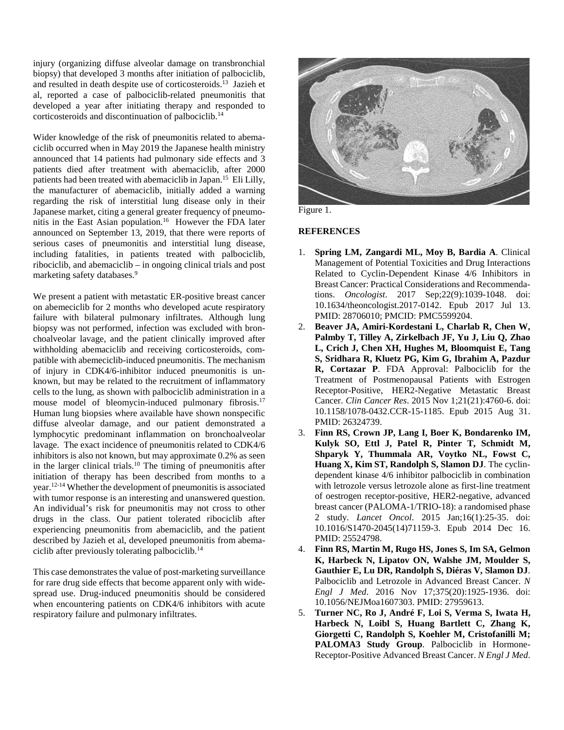injury (organizing diffuse alveolar damage on transbronchial biopsy) that developed 3 months after initiation of palbociclib, and resulted in death despite use of corticosteroids. 13 Jazieh et al, reported a case of palbociclib-related pneumonitis that developed a year after initiating therapy and responded to corticosteroids and discontinuation of palbociclib. 14

Wider knowledge of the risk of pneumonitis related to abemaciclib occurred when in May 2019 the Japanese health ministry announced that 14 patients had pulmonary side effects and 3 patients died after treatment with abemaciclib, after 2000 patients had been treated with abemaciclib in Japan.<sup>15</sup> Eli Lilly, the manufacturer of abemaciclib, initially added a warning regarding the risk of interstitial lung disease only in their Japanese market, citing a general greater frequency of pneumonitis in the East Asian population. 16 However the FDA later announced on September 13, 2019, that there were reports of serious cases of pneumonitis and interstitial lung disease, including fatalities, in patients treated with palbociclib, ribociclib, and abemaciclib – in ongoing clinical trials and post marketing safety databases. 9

We present a patient with metastatic ER-positive breast cancer on abemeciclib for 2 months who developed acute respiratory failure with bilateral pulmonary infiltrates. Although lung biopsy was not performed, infection was excluded with bronchoalveolar lavage, and the patient clinically improved after withholding abemaciclib and receiving corticosteroids, compatible with abemeciclib-induced pneumonitis. The mechanism of injury in CDK4/6-inhibitor induced pneumonitis is unknown, but may be related to the recruitment of inflammatory cells to the lung, as shown with palbociclib administration in a mouse model of bleomycin-induced pulmonary fibrosis. 17 Human lung biopsies where available have shown nonspecific diffuse alveolar damage, and our patient demonstrated a lymphocytic predominant inflammation on bronchoalveolar lavage. The exact incidence of pneumonitis related to CDK4/6 inhibitors is also not known, but may approximate 0.2% as seen in the larger clinical trials. <sup>10</sup> The timing of pneumonitis after initiation of therapy has been described from months to a year. 12-14 Whether the development of pneumonitis is associated with tumor response is an interesting and unanswered question. An individual's risk for pneumonitis may not cross to other drugs in the class. Our patient tolerated ribociclib after experiencing pneumonitis from abemaciclib, and the patient described by Jazieh et al, developed pneumonitis from abemaciclib after previously tolerating palbociclib. 14

This case demonstrates the value of post-marketing surveillance for rare drug side effects that become apparent only with widespread use. Drug-induced pneumonitis should be considered when encountering patients on CDK4/6 inhibitors with acute respiratory failure and pulmonary infiltrates.





## **REFERENCES**

- 1. **Spring LM, Zangardi ML, Moy B, Bardia A**. Clinical Management of Potential Toxicities and Drug Interactions Related to Cyclin-Dependent Kinase 4/6 Inhibitors in Breast Cancer: Practical Considerations and Recommendations. *Oncologist*. 2017 Sep;22(9):1039-1048. doi: 10.1634/theoncologist.2017-0142. Epub 2017 Jul 13. PMID: 28706010; PMCID: PMC5599204.
- 2. **Beaver JA, Amiri-Kordestani L, Charlab R, Chen W, Palmby T, Tilley A, Zirkelbach JF, Yu J, Liu Q, Zhao L, Crich J, Chen XH, Hughes M, Bloomquist E, Tang S, Sridhara R, Kluetz PG, Kim G, Ibrahim A, Pazdur R, Cortazar P**. FDA Approval: Palbociclib for the Treatment of Postmenopausal Patients with Estrogen Receptor-Positive, HER2-Negative Metastatic Breast Cancer. *Clin Cancer Res*. 2015 Nov 1;21(21):4760-6. doi: 10.1158/1078-0432.CCR-15-1185. Epub 2015 Aug 31. PMID: 26324739.
- 3. **Finn RS, Crown JP, Lang I, Boer K, Bondarenko IM, Kulyk SO, Ettl J, Patel R, Pinter T, Schmidt M, Shparyk Y, Thummala AR, Voytko NL, Fowst C, Huang X, Kim ST, Randolph S, Slamon DJ**. The cyclindependent kinase 4/6 inhibitor palbociclib in combination with letrozole versus letrozole alone as first-line treatment of oestrogen receptor-positive, HER2-negative, advanced breast cancer (PALOMA-1/TRIO-18): a randomised phase 2 study. *Lancet Oncol*. 2015 Jan;16(1):25-35. doi: 10.1016/S1470-2045(14)71159-3. Epub 2014 Dec 16. PMID: 25524798.
- 4. **Finn RS, Martin M, Rugo HS, Jones S, Im SA, Gelmon K, Harbeck N, Lipatov ON, Walshe JM, Moulder S, Gauthier E, Lu DR, Randolph S, Diéras V, Slamon DJ**. Palbociclib and Letrozole in Advanced Breast Cancer. *N Engl J Med*. 2016 Nov 17;375(20):1925-1936. doi: 10.1056/NEJMoa1607303. PMID: 27959613.
- 5. **Turner NC, Ro J, André F, Loi S, Verma S, Iwata H, Harbeck N, Loibl S, Huang Bartlett C, Zhang K, Giorgetti C, Randolph S, Koehler M, Cristofanilli M; PALOMA3 Study Group**. Palbociclib in Hormone-Receptor-Positive Advanced Breast Cancer. *N Engl J Med*.